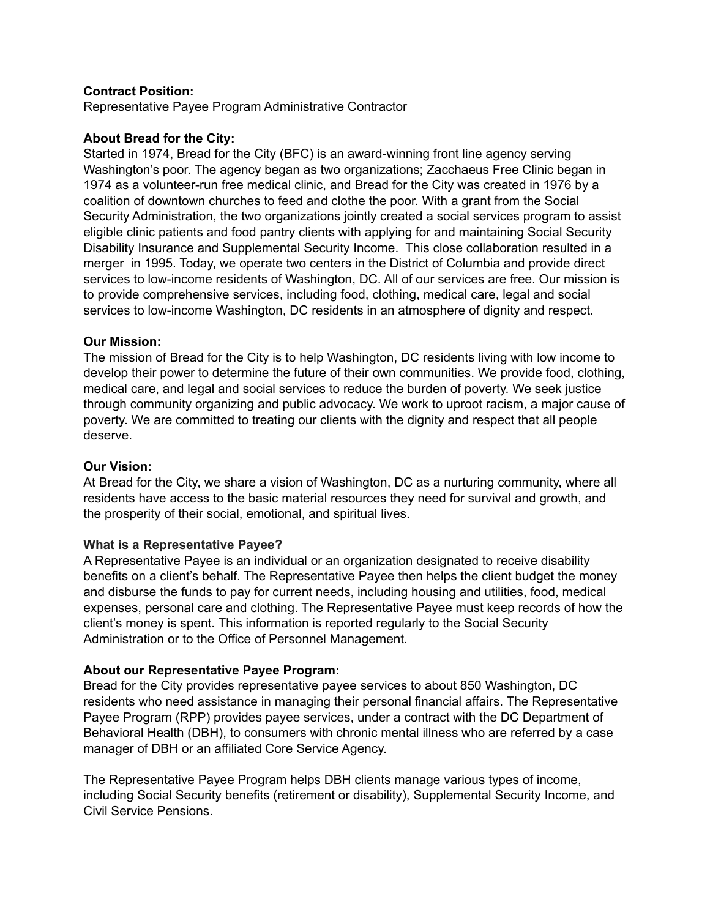## **Contract Position:**

Representative Payee Program Administrative Contractor

#### **About Bread for the City:**

Started in 1974, Bread for the City (BFC) is an award-winning front line agency serving Washington's poor. The agency began as two organizations; Zacchaeus Free Clinic began in 1974 as a volunteer-run free medical clinic, and Bread for the City was created in 1976 by a coalition of downtown churches to feed and clothe the poor. With a grant from the Social Security Administration, the two organizations jointly created a social services program to assist eligible clinic patients and food pantry clients with applying for and maintaining Social Security Disability Insurance and Supplemental Security Income. This close collaboration resulted in a merger in 1995. Today, we operate two centers in the District of Columbia and provide direct services to low-income residents of Washington, DC. All of our services are free. Our mission is to provide comprehensive services, including food, clothing, medical care, legal and social services to low-income Washington, DC residents in an atmosphere of dignity and respect.

#### **Our Mission:**

The mission of Bread for the City is to help Washington, DC residents living with low income to develop their power to determine the future of their own communities. We provide food, clothing, medical care, and legal and social services to reduce the burden of poverty. We seek justice through community organizing and public advocacy. We work to uproot racism, a major cause of poverty. We are committed to treating our clients with the dignity and respect that all people deserve.

## **Our Vision:**

At Bread for the City, we share a vision of Washington, DC as a nurturing community, where all residents have access to the basic material resources they need for survival and growth, and the prosperity of their social, emotional, and spiritual lives.

## **What is a Representative Payee?**

A Representative Payee is an individual or an organization designated to receive disability benefits on a client's behalf. The Representative Payee then helps the client budget the money and disburse the funds to pay for current needs, including housing and utilities, food, medical expenses, personal care and clothing. The Representative Payee must keep records of how the client's money is spent. This information is reported regularly to the Social Security Administration or to the Office of Personnel Management.

#### **About our Representative Payee Program:**

Bread for the City provides representative payee services to about 850 Washington, DC residents who need assistance in managing their personal financial affairs. The Representative Payee Program (RPP) provides payee services, under a contract with the DC Department of Behavioral Health (DBH), to consumers with chronic mental illness who are referred by a case manager of DBH or an affiliated Core Service Agency.

The Representative Payee Program helps DBH clients manage various types of income, including Social Security benefits (retirement or disability), Supplemental Security Income, and Civil Service Pensions.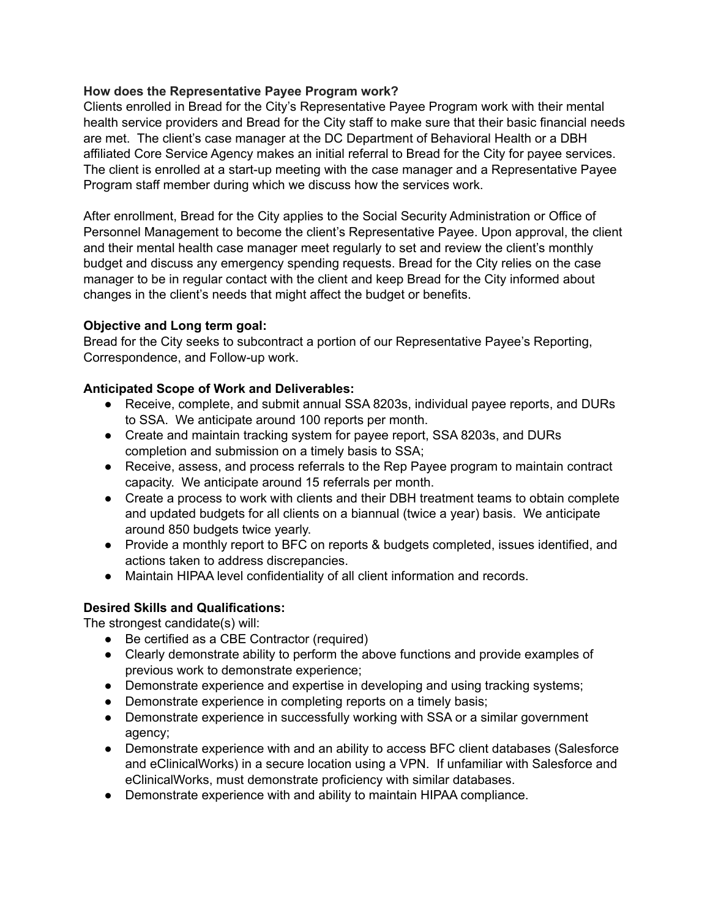## **How does the Representative Payee Program work?**

Clients enrolled in Bread for the City's Representative Payee Program work with their mental health service providers and Bread for the City staff to make sure that their basic financial needs are met. The client's case manager at the DC Department of Behavioral Health or a DBH affiliated Core Service Agency makes an initial referral to Bread for the City for payee services. The client is enrolled at a start-up meeting with the case manager and a Representative Payee Program staff member during which we discuss how the services work.

After enrollment, Bread for the City applies to the Social Security Administration or Office of Personnel Management to become the client's Representative Payee. Upon approval, the client and their mental health case manager meet regularly to set and review the client's monthly budget and discuss any emergency spending requests. Bread for the City relies on the case manager to be in regular contact with the client and keep Bread for the City informed about changes in the client's needs that might affect the budget or benefits.

## **Objective and Long term goal:**

Bread for the City seeks to subcontract a portion of our Representative Payee's Reporting, Correspondence, and Follow-up work.

## **Anticipated Scope of Work and Deliverables:**

- Receive, complete, and submit annual SSA 8203s, individual payee reports, and DURs to SSA. We anticipate around 100 reports per month.
- Create and maintain tracking system for payee report, SSA 8203s, and DURs completion and submission on a timely basis to SSA;
- Receive, assess, and process referrals to the Rep Payee program to maintain contract capacity. We anticipate around 15 referrals per month.
- Create a process to work with clients and their DBH treatment teams to obtain complete and updated budgets for all clients on a biannual (twice a year) basis. We anticipate around 850 budgets twice yearly.
- Provide a monthly report to BFC on reports & budgets completed, issues identified, and actions taken to address discrepancies.
- Maintain HIPAA level confidentiality of all client information and records.

# **Desired Skills and Qualifications:**

The strongest candidate(s) will:

- Be certified as a CBE Contractor (required)
- Clearly demonstrate ability to perform the above functions and provide examples of previous work to demonstrate experience;
- Demonstrate experience and expertise in developing and using tracking systems;
- Demonstrate experience in completing reports on a timely basis;
- Demonstrate experience in successfully working with SSA or a similar government agency;
- Demonstrate experience with and an ability to access BFC client databases (Salesforce and eClinicalWorks) in a secure location using a VPN. If unfamiliar with Salesforce and eClinicalWorks, must demonstrate proficiency with similar databases.
- Demonstrate experience with and ability to maintain HIPAA compliance.